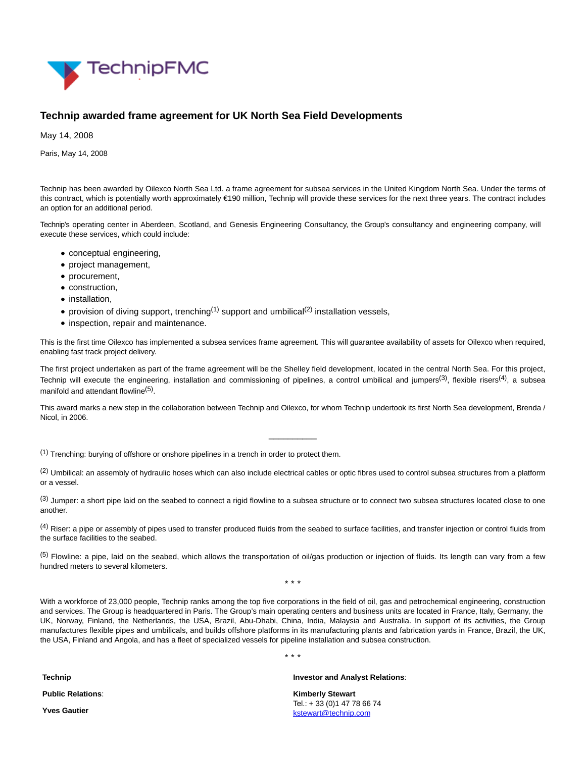

## **Technip awarded frame agreement for UK North Sea Field Developments**

May 14, 2008

Paris, May 14, 2008

Technip has been awarded by Oilexco North Sea Ltd. a frame agreement for subsea services in the United Kingdom North Sea. Under the terms of this contract, which is potentially worth approximately €190 million, Technip will provide these services for the next three years. The contract includes an option for an additional period.

Technip's operating center in Aberdeen, Scotland, and Genesis Engineering Consultancy, the Group's consultancy and engineering company, will execute these services, which could include:

- conceptual engineering,
- project management,
- procurement,
- construction,
- installation,
- provision of diving support, trenching<sup>(1)</sup> support and umbilical<sup>(2)</sup> installation vessels,
- inspection, repair and maintenance.

This is the first time Oilexco has implemented a subsea services frame agreement. This will guarantee availability of assets for Oilexco when required, enabling fast track project delivery.

The first project undertaken as part of the frame agreement will be the Shelley field development, located in the central North Sea. For this project, Technip will execute the engineering, installation and commissioning of pipelines, a control umbilical and jumpers<sup>(3)</sup>, flexible risers<sup>(4)</sup>, a subsea manifold and attendant flowline<sup>(5)</sup>.

This award marks a new step in the collaboration between Technip and Oilexco, for whom Technip undertook its first North Sea development, Brenda / Nicol, in 2006.

\_\_\_\_\_\_\_\_\_\_

(1) Trenching: burying of offshore or onshore pipelines in a trench in order to protect them.

<sup>(2)</sup> Umbilical: an assembly of hydraulic hoses which can also include electrical cables or optic fibres used to control subsea structures from a platform or a vessel.

(3) Jumper: a short pipe laid on the seabed to connect a rigid flowline to a subsea structure or to connect two subsea structures located close to one another.

<sup>(4)</sup> Riser: a pipe or assembly of pipes used to transfer produced fluids from the seabed to surface facilities, and transfer injection or control fluids from the surface facilities to the seabed.

 $<sup>(5)</sup>$  Flowline: a pipe, laid on the seabed, which allows the transportation of oil/gas production or injection of fluids. Its length can vary from a few</sup> hundred meters to several kilometers.

\* \* \*

With a workforce of 23,000 people, Technip ranks among the top five corporations in the field of oil, gas and petrochemical engineering, construction and services. The Group is headquartered in Paris. The Group's main operating centers and business units are located in France, Italy, Germany, the UK, Norway, Finland, the Netherlands, the USA, Brazil, Abu-Dhabi, China, India, Malaysia and Australia. In support of its activities, the Group manufactures flexible pipes and umbilicals, and builds offshore platforms in its manufacturing plants and fabrication yards in France, Brazil, the UK, the USA, Finland and Angola, and has a fleet of specialized vessels for pipeline installation and subsea construction.

\* \* \*

**Technip**

**Public Relations**:

**Yves Gautier**

**Investor and Analyst Relations**:

**Kimberly Stewart** Tel.: + 33 (0)1 47 78 66 74 [kstewart@technip.com](mailto:kstewart@technip.com)